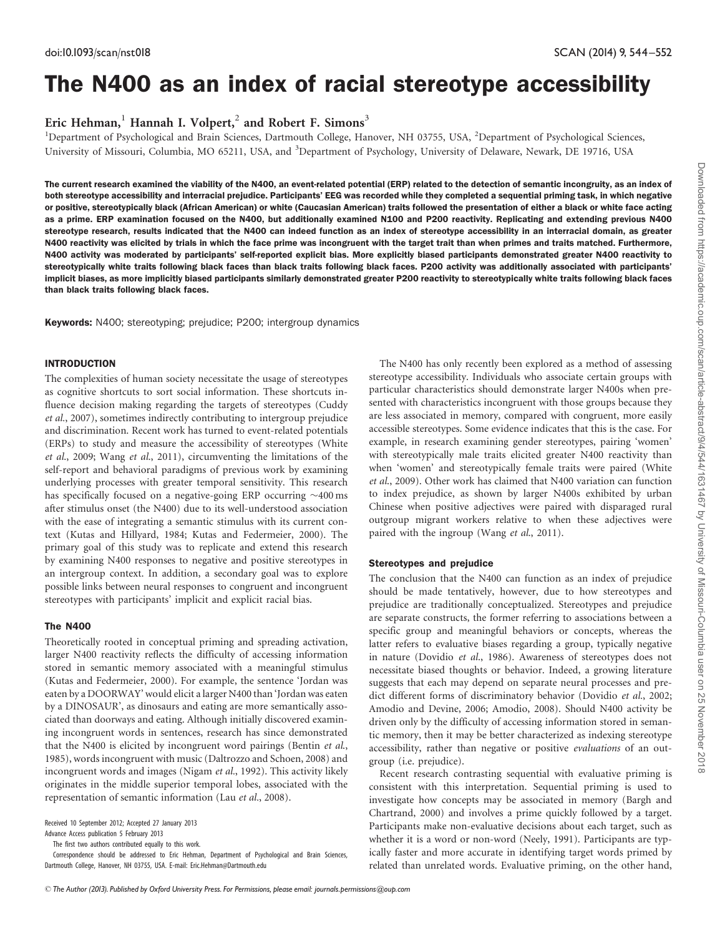# The N400 as an index of racial stereotype accessibility

Eric Hehman,<sup>1</sup> Hannah I. Volpert,<sup>2</sup> and Robert F. Simons<sup>3</sup>

<sup>1</sup>Department of Psychological and Brain Sciences, Dartmouth College, Hanover, NH 03755, USA, <sup>2</sup>Department of Psychological Sciences, University of Missouri, Columbia, MO 65211, USA, and <sup>3</sup>Department of Psychology, University of Delaware, Newark, DE 19716, USA

The current research examined the viability of the N400, an event-related potential (ERP) related to the detection of semantic incongruity, as an index of both stereotype accessibility and interracial prejudice. Participants' EEG was recorded while they completed a sequential priming task, in which negative or positive, stereotypically black (African American) or white (Caucasian American) traits followed the presentation of either a black or white face acting as a prime. ERP examination focused on the N400, but additionally examined N100 and P200 reactivity. Replicating and extending previous N400 stereotype research, results indicated that the N400 can indeed function as an index of stereotype accessibility in an interracial domain, as greater N400 reactivity was elicited by trials in which the face prime was incongruent with the target trait than when primes and traits matched. Furthermore, N400 activity was moderated by participants' self-reported explicit bias. More explicitly biased participants demonstrated greater N400 reactivity to stereotypically white traits following black faces than black traits following black faces. P200 activity was additionally associated with participants implicit biases, as more implicitly biased participants similarly demonstrated greater P200 reactivity to stereotypically white traits following black faces than black traits following black faces.

Keywords: N400; stereotyping; prejudice; P200; intergroup dynamics

# INTRODUCTION

The complexities of human society necessitate the usage of stereotypes as cognitive shortcuts to sort social information. These shortcuts influence decision making regarding the targets of stereotypes ([Cuddy](#page-7-0) et al.[, 2007\)](#page-7-0), sometimes indirectly contributing to intergroup prejudice and discrimination. Recent work has turned to event-related potentials (ERPs) to study and measure the accessibility of stereotypes ([White](#page-8-0) et al[., 2009;](#page-8-0) Wang et al[., 2011](#page-8-0)), circumventing the limitations of the self-report and behavioral paradigms of previous work by examining underlying processes with greater temporal sensitivity. This research has specifically focused on a negative-going ERP occurring  $\sim$  400 ms after stimulus onset (the N400) due to its well-understood association with the ease of integrating a semantic stimulus with its current context [\(Kutas and Hillyard, 1984; Kutas and Federmeier, 2000\)](#page-8-0). The primary goal of this study was to replicate and extend this research by examining N400 responses to negative and positive stereotypes in an intergroup context. In addition, a secondary goal was to explore possible links between neural responses to congruent and incongruent stereotypes with participants' implicit and explicit racial bias.

# The N400

Theoretically rooted in conceptual priming and spreading activation, larger N400 reactivity reflects the difficulty of accessing information stored in semantic memory associated with a meaningful stimulus [\(Kutas and Federmeier, 2000](#page-8-0)). For example, the sentence 'Jordan was eaten by a DOORWAY' would elicit a larger N400 than 'Jordan was eaten by a DINOSAUR', as dinosaurs and eating are more semantically associated than doorways and eating. Although initially discovered examining incongruent words in sentences, research has since demonstrated that the N400 is elicited by incongruent word pairings ([Bentin](#page-7-0) [et al](#page-7-0)., [1985](#page-7-0)), words incongruent with music [\(Daltrozzo and Schoen, 2008](#page-8-0)) and incongruent words and images ([Nigam](#page-8-0) et al.[, 1992](#page-8-0)). This activity likely originates in the middle superior temporal lobes, associated with the representation of semantic information ([Lau](#page-8-0) et al.[, 2008](#page-8-0)).

Received 10 September 2012; Accepted 27 January 2013

Advance Access publication 5 February 2013

The first two authors contributed equally to this work.

Correspondence should be addressed to Eric Hehman, Department of Psychological and Brain Sciences, Dartmouth College, Hanover, NH 03755, USA. E-mail: Eric.Hehman@Dartmouth.edu

The N400 has only recently been explored as a method of assessing stereotype accessibility. Individuals who associate certain groups with particular characteristics should demonstrate larger N400s when presented with characteristics incongruent with those groups because they are less associated in memory, compared with congruent, more easily accessible stereotypes. Some evidence indicates that this is the case. For example, in research examining gender stereotypes, pairing 'women' with stereotypically male traits elicited greater N400 reactivity than when 'women' and stereotypically female traits were paired ([White](#page-8-0) et al[., 2009\)](#page-8-0). Other work has claimed that N400 variation can function to index prejudice, as shown by larger N400s exhibited by urban Chinese when positive adjectives were paired with disparaged rural outgroup migrant workers relative to when these adjectives were paired with the ingroup (Wang et al[., 2011\)](#page-8-0).

# Stereotypes and prejudice

The conclusion that the N400 can function as an index of prejudice should be made tentatively, however, due to how stereotypes and prejudice are traditionally conceptualized. Stereotypes and prejudice are separate constructs, the former referring to associations between a specific group and meaningful behaviors or concepts, whereas the latter refers to evaluative biases regarding a group, typically negative in nature ([Dovidio](#page-8-0) et al[., 1986](#page-8-0)). Awareness of stereotypes does not necessitate biased thoughts or behavior. Indeed, a growing literature suggests that each may depend on separate neural processes and predict different forms of discriminatory behavior [\(Dovidio](#page-8-0) et al., 2002; [Amodio and Devine, 2006](#page-7-0); [Amodio, 2008\)](#page-7-0). Should N400 activity be driven only by the difficulty of accessing information stored in semantic memory, then it may be better characterized as indexing stereotype accessibility, rather than negative or positive evaluations of an outgroup (i.e. prejudice).

Recent research contrasting sequential with evaluative priming is consistent with this interpretation. Sequential priming is used to investigate how concepts may be associated in memory [\(Bargh and](#page-7-0) [Chartrand, 2000](#page-7-0)) and involves a prime quickly followed by a target. Participants make non-evaluative decisions about each target, such as whether it is a word or non-word [\(Neely, 1991\)](#page-8-0). Participants are typically faster and more accurate in identifying target words primed by related than unrelated words. Evaluative priming, on the other hand,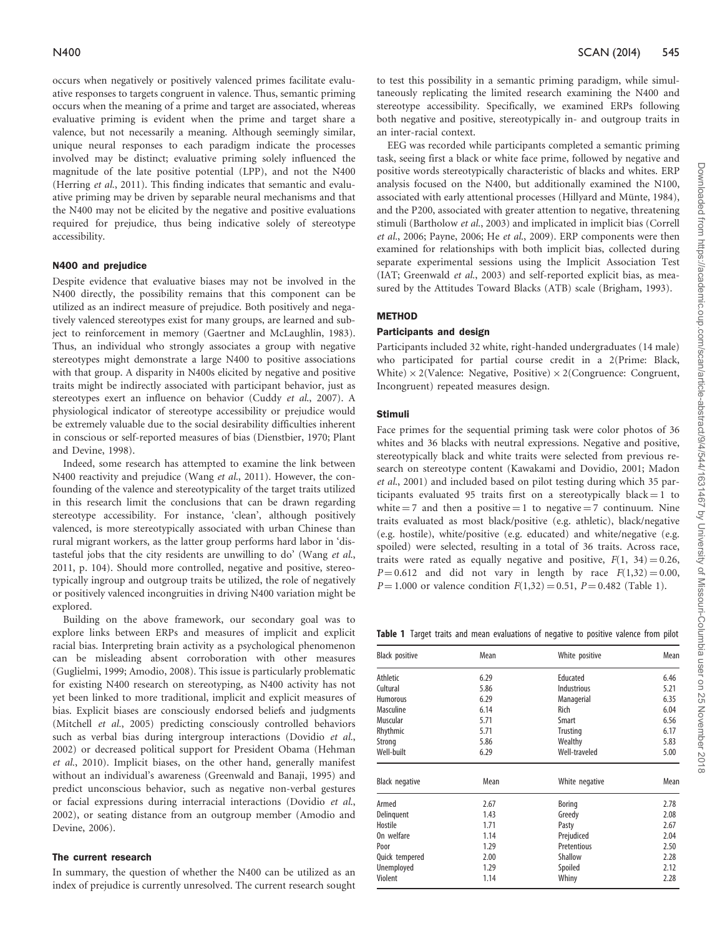occurs when negatively or positively valenced primes facilitate evaluative responses to targets congruent in valence. Thus, semantic priming occurs when the meaning of a prime and target are associated, whereas evaluative priming is evident when the prime and target share a valence, but not necessarily a meaning. Although seemingly similar, unique neural responses to each paradigm indicate the processes involved may be distinct; evaluative priming solely influenced the magnitude of the late positive potential (LPP), and not the N400 ([Herring](#page-8-0) et al.[, 2011](#page-8-0)). This finding indicates that semantic and evaluative priming may be driven by separable neural mechanisms and that the N400 may not be elicited by the negative and positive evaluations required for prejudice, thus being indicative solely of stereotype accessibility.

# N400 and prejudice

Despite evidence that evaluative biases may not be involved in the N400 directly, the possibility remains that this component can be utilized as an indirect measure of prejudice. Both positively and negatively valenced stereotypes exist for many groups, are learned and subject to reinforcement in memory [\(Gaertner and McLaughlin, 1983\)](#page-8-0). Thus, an individual who strongly associates a group with negative stereotypes might demonstrate a large N400 to positive associations with that group. A disparity in N400s elicited by negative and positive traits might be indirectly associated with participant behavior, just as stereotypes exert an influence on behavior (Cuddy et al[., 2007\)](#page-7-0). A physiological indicator of stereotype accessibility or prejudice would be extremely valuable due to the social desirability difficulties inherent in conscious or self-reported measures of bias [\(Dienstbier, 1970; Plant](#page-8-0) [and Devine, 1998\)](#page-8-0).

Indeed, some research has attempted to examine the link between N400 reactivity and prejudice (Wang et al[., 2011\)](#page-8-0). However, the confounding of the valence and stereotypicality of the target traits utilized in this research limit the conclusions that can be drawn regarding stereotype accessibility. For instance, 'clean', although positively valenced, is more stereotypically associated with urban Chinese than rural migrant workers, as the latter group performs hard labor in 'distasteful jobs that the city residents are unwilling to do' ([Wang](#page-8-0) et al., [2011,](#page-8-0) p. 104). Should more controlled, negative and positive, stereotypically ingroup and outgroup traits be utilized, the role of negatively or positively valenced incongruities in driving N400 variation might be explored.

Building on the above framework, our secondary goal was to explore links between ERPs and measures of implicit and explicit racial bias. Interpreting brain activity as a psychological phenomenon can be misleading absent corroboration with other measures ([Guglielmi, 1999;](#page-8-0) [Amodio, 2008](#page-7-0)). This issue is particularly problematic for existing N400 research on stereotyping, as N400 activity has not yet been linked to more traditional, implicit and explicit measures of bias. Explicit biases are consciously endorsed beliefs and judgments ([Mitchell](#page-8-0) et al.[, 2005\)](#page-8-0) predicting consciously controlled behaviors such as verbal bias during intergroup interactions ([Dovidio](#page-8-0) [et al.](#page-8-0), [2002\)](#page-8-0) or decreased political support for President Obama ([Hehman](#page-8-0) et al.[, 2010\)](#page-8-0). Implicit biases, on the other hand, generally manifest without an individual's awareness [\(Greenwald and Banaji, 1995](#page-8-0)) and predict unconscious behavior, such as negative non-verbal gestures or facial expressions during interracial interactions [\(Dovidio](#page-8-0) et al., [2002\)](#page-8-0), or seating distance from an outgroup member [\(Amodio and](#page-7-0) [Devine, 2006](#page-7-0)).

#### The current research

In summary, the question of whether the N400 can be utilized as an index of prejudice is currently unresolved. The current research sought to test this possibility in a semantic priming paradigm, while simultaneously replicating the limited research examining the N400 and stereotype accessibility. Specifically, we examined ERPs following both negative and positive, stereotypically in- and outgroup traits in an inter-racial context.

EEG was recorded while participants completed a semantic priming task, seeing first a black or white face prime, followed by negative and positive words stereotypically characteristic of blacks and whites. ERP analysis focused on the N400, but additionally examined the N100, associated with early attentional processes (Hillyard and Münte, 1984), and the P200, associated with greater attention to negative, threatening stimuli [\(Bartholow](#page-7-0) et al.[, 2003\)](#page-7-0) and implicated in implicit bias [\(Correll](#page-7-0) et al.[, 2006](#page-7-0); [Payne, 2006;](#page-8-0) He et al[., 2009\)](#page-8-0). ERP components were then examined for relationships with both implicit bias, collected during separate experimental sessions using the Implicit Association Test (IAT; [Greenwald](#page-8-0) et al., 2003) and self-reported explicit bias, as measured by the Attitudes Toward Blacks (ATB) scale [\(Brigham, 1993\)](#page-7-0).

# METHOD

# Participants and design

Participants included 32 white, right-handed undergraduates (14 male) who participated for partial course credit in a 2(Prime: Black, White)  $\times$  2(Valence: Negative, Positive)  $\times$  2(Congruence: Congruent, Incongruent) repeated measures design.

#### Stimuli

Face primes for the sequential priming task were color photos of 36 whites and 36 blacks with neutral expressions. Negative and positive, stereotypically black and white traits were selected from previous research on stereotype content ([Kawakami and Dovidio, 2001](#page-8-0); [Madon](#page-8-0) et al[., 2001](#page-8-0)) and included based on pilot testing during which 35 participants evaluated 95 traits first on a stereotypically black  $= 1$  to white  $= 7$  and then a positive  $= 1$  to negative  $= 7$  continuum. Nine traits evaluated as most black/positive (e.g. athletic), black/negative (e.g. hostile), white/positive (e.g. educated) and white/negative (e.g. spoiled) were selected, resulting in a total of 36 traits. Across race, traits were rated as equally negative and positive,  $F(1, 34) = 0.26$ ,  $P = 0.612$  and did not vary in length by race  $F(1,32) = 0.00$ ,  $P = 1.000$  or valence condition  $F(1,32) = 0.51$ ,  $P = 0.482$  (Table 1).

Table 1 Target traits and mean evaluations of negative to positive valence from pilot

| Black positive        | Mean | White positive  | Mean |
|-----------------------|------|-----------------|------|
| Athletic              | 6.29 | Educated        | 6.46 |
| Cultural              | 5.86 | Industrious     | 5.21 |
| <b>Humorous</b>       | 6.29 | Managerial      | 6.35 |
| <b>Masculine</b>      | 6.14 | Rich            | 6.04 |
| Muscular              | 5.71 | Smart           | 6.56 |
| Rhythmic              | 5.71 | <b>Trusting</b> | 6.17 |
| Strong                | 5.86 | Wealthy         | 5.83 |
| Well-built            | 6.29 | Well-traveled   | 5.00 |
| <b>Black negative</b> | Mean | White negative  | Mean |
| Armed                 | 2.67 | Boring          | 2.78 |
| Delinquent            | 1.43 | Greedy          | 2.08 |
| Hostile               | 1.71 | Pasty           | 2.67 |
| On welfare            | 1.14 | Prejudiced      | 2.04 |
| Poor                  | 1.29 | Pretentious     | 2.50 |
| Quick tempered        | 2.00 | <b>Shallow</b>  | 2.28 |
| Unemployed            | 1.29 | Spoiled         | 2.12 |
| Violent               | 1.14 | Whiny           | 2.28 |
|                       |      |                 |      |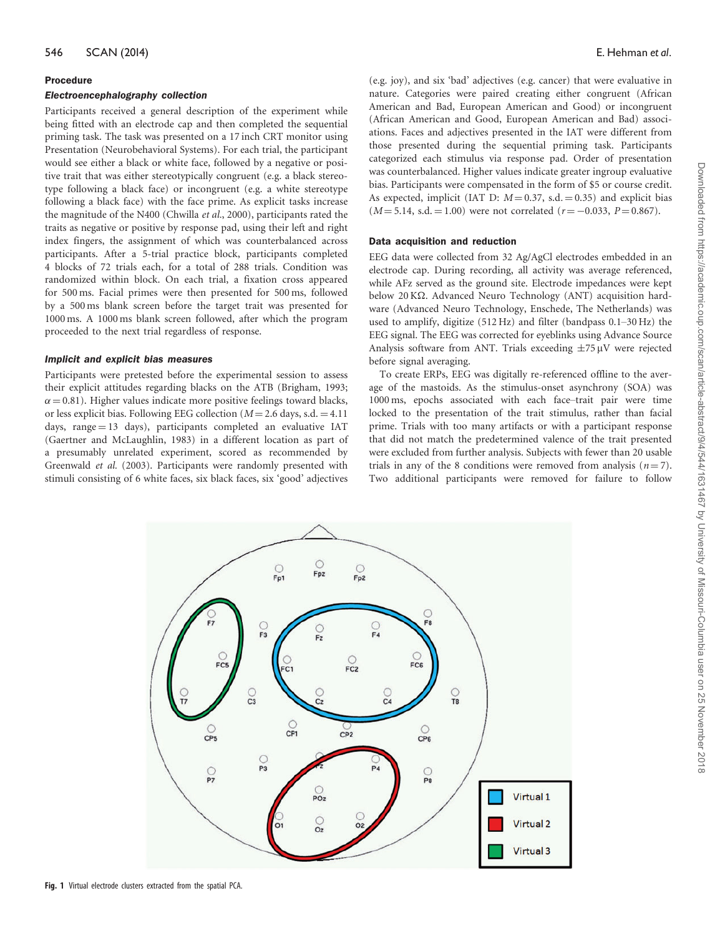#### Procedure

#### Electroencephalography collection

Participants received a general description of the experiment while being fitted with an electrode cap and then completed the sequential priming task. The task was presented on a 17 inch CRT monitor using Presentation (Neurobehavioral Systems). For each trial, the participant would see either a black or white face, followed by a negative or positive trait that was either stereotypically congruent (e.g. a black stereotype following a black face) or incongruent (e.g. a white stereotype following a black face) with the face prime. As explicit tasks increase the magnitude of the N400 ([Chwilla](#page-7-0) et al.[, 2000](#page-7-0)), participants rated the traits as negative or positive by response pad, using their left and right index fingers, the assignment of which was counterbalanced across participants. After a 5-trial practice block, participants completed 4 blocks of 72 trials each, for a total of 288 trials. Condition was randomized within block. On each trial, a fixation cross appeared for 500 ms. Facial primes were then presented for 500 ms, followed by a 500 ms blank screen before the target trait was presented for 1000 ms. A 1000 ms blank screen followed, after which the program proceeded to the next trial regardless of response.

#### Implicit and explicit bias measures

Participants were pretested before the experimental session to assess their explicit attitudes regarding blacks on the ATB ([Brigham, 1993;](#page-7-0)  $\alpha$  = 0.81). Higher values indicate more positive feelings toward blacks, or less explicit bias. Following EEG collection ( $M = 2.6$  days, s.d.  $= 4.11$ ) days, range  $= 13$  days), participants completed an evaluative IAT [\(Gaertner and McLaughlin, 1983\)](#page-8-0) in a different location as part of a presumably unrelated experiment, scored as recommended by [Greenwald](#page-8-0) et al. [\(2003\).](#page-8-0) Participants were randomly presented with stimuli consisting of 6 white faces, six black faces, six 'good' adjectives (e.g. joy), and six 'bad' adjectives (e.g. cancer) that were evaluative in nature. Categories were paired creating either congruent (African American and Bad, European American and Good) or incongruent (African American and Good, European American and Bad) associations. Faces and adjectives presented in the IAT were different from those presented during the sequential priming task. Participants categorized each stimulus via response pad. Order of presentation was counterbalanced. Higher values indicate greater ingroup evaluative bias. Participants were compensated in the form of \$5 or course credit. As expected, implicit (IAT D:  $M = 0.37$ , s.d.  $= 0.35$ ) and explicit bias  $(M = 5.14, s.d. = 1.00)$  were not correlated  $(r = -0.033, P = 0.867)$ .

# Data acquisition and reduction

EEG data were collected from 32 Ag/AgCl electrodes embedded in an electrode cap. During recording, all activity was average referenced, while AFz served as the ground site. Electrode impedances were kept below 20 KΩ. Advanced Neuro Technology (ANT) acquisition hardware (Advanced Neuro Technology, Enschede, The Netherlands) was used to amplify, digitize (512 Hz) and filter (bandpass 0.1–30 Hz) the EEG signal. The EEG was corrected for eyeblinks using Advance Source Analysis software from ANT. Trials exceeding  $\pm$ 75 µV were rejected before signal averaging.

To create ERPs, EEG was digitally re-referenced offline to the average of the mastoids. As the stimulus-onset asynchrony (SOA) was 1000 ms, epochs associated with each face–trait pair were time locked to the presentation of the trait stimulus, rather than facial prime. Trials with too many artifacts or with a participant response that did not match the predetermined valence of the trait presented were excluded from further analysis. Subjects with fewer than 20 usable trials in any of the 8 conditions were removed from analysis  $(n = 7)$ . Two additional participants were removed for failure to follow

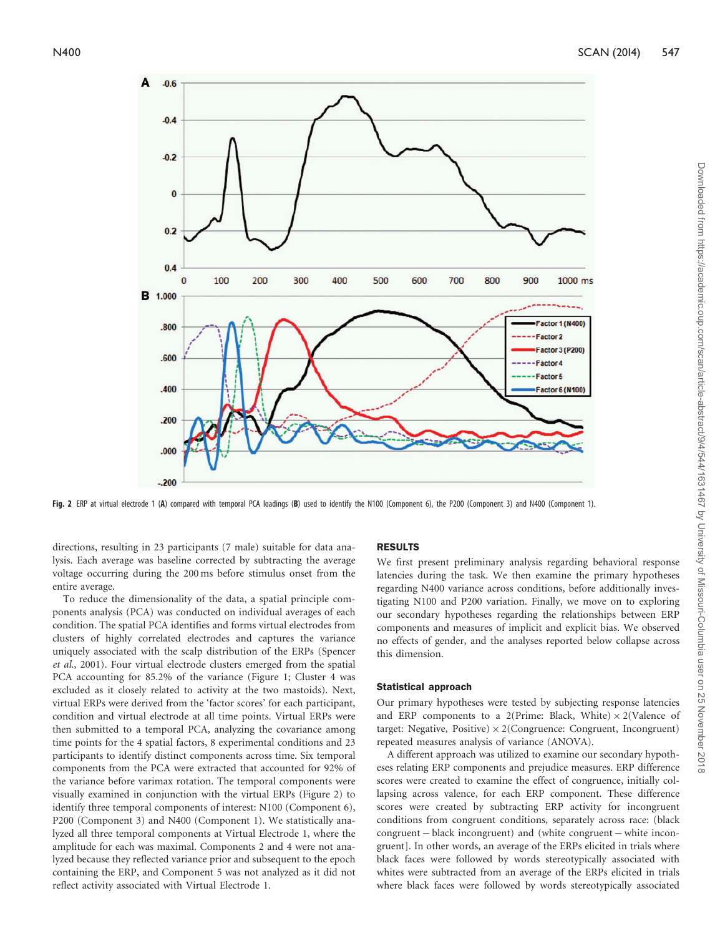

Fig. 2 ERP at virtual electrode 1 (A) compared with temporal PCA loadings (B) used to identify the N100 (Component 6), the P200 (Component 3) and N400 (Component 1).

directions, resulting in 23 participants (7 male) suitable for data analysis. Each average was baseline corrected by subtracting the average voltage occurring during the 200 ms before stimulus onset from the entire average.

To reduce the dimensionality of the data, a spatial principle components analysis (PCA) was conducted on individual averages of each condition. The spatial PCA identifies and forms virtual electrodes from clusters of highly correlated electrodes and captures the variance uniquely associated with the scalp distribution of the ERPs ([Spencer](#page-8-0) et al.[, 2001\)](#page-8-0). Four virtual electrode clusters emerged from the spatial PCA accounting for 85.2% of the variance (Figure 1; Cluster 4 was excluded as it closely related to activity at the two mastoids). Next, virtual ERPs were derived from the 'factor scores' for each participant, condition and virtual electrode at all time points. Virtual ERPs were then submitted to a temporal PCA, analyzing the covariance among time points for the 4 spatial factors, 8 experimental conditions and 23 participants to identify distinct components across time. Six temporal components from the PCA were extracted that accounted for 92% of the variance before varimax rotation. The temporal components were visually examined in conjunction with the virtual ERPs (Figure 2) to identify three temporal components of interest: N100 (Component 6), P200 (Component 3) and N400 (Component 1). We statistically analyzed all three temporal components at Virtual Electrode 1, where the amplitude for each was maximal. Components 2 and 4 were not analyzed because they reflected variance prior and subsequent to the epoch containing the ERP, and Component 5 was not analyzed as it did not reflect activity associated with Virtual Electrode 1.

# RESULTS

We first present preliminary analysis regarding behavioral response latencies during the task. We then examine the primary hypotheses regarding N400 variance across conditions, before additionally investigating N100 and P200 variation. Finally, we move on to exploring our secondary hypotheses regarding the relationships between ERP components and measures of implicit and explicit bias. We observed no effects of gender, and the analyses reported below collapse across this dimension.

#### Statistical approach

Our primary hypotheses were tested by subjecting response latencies and ERP components to a 2(Prime: Black, White)  $\times$  2(Valence of target: Negative, Positive)  $\times$  2(Congruence: Congruent, Incongruent) repeated measures analysis of variance (ANOVA).

A different approach was utilized to examine our secondary hypotheses relating ERP components and prejudice measures. ERP difference scores were created to examine the effect of congruence, initially collapsing across valence, for each ERP component. These difference scores were created by subtracting ERP activity for incongruent conditions from congruent conditions, separately across race: (black  $congruent - black incongruent)$  and (white congruent  $-$  white incongruent]. In other words, an average of the ERPs elicited in trials where black faces were followed by words stereotypically associated with whites were subtracted from an average of the ERPs elicited in trials where black faces were followed by words stereotypically associated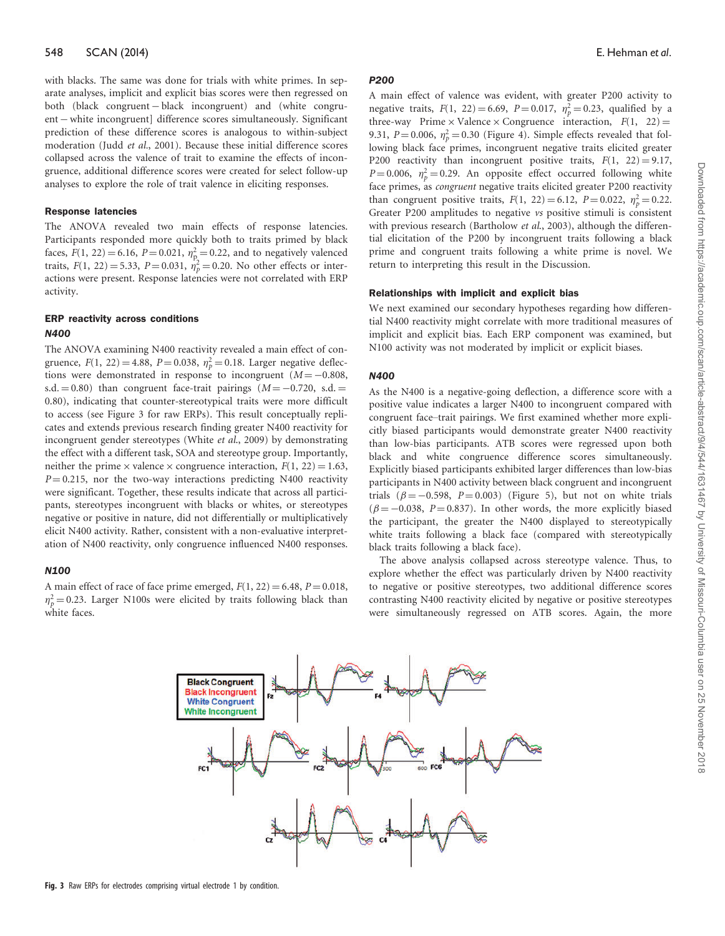with blacks. The same was done for trials with white primes. In separate analyses, implicit and explicit bias scores were then regressed on both (black congruent – black incongruent) and (white congruent – white incongruent] difference scores simultaneously. Significant prediction of these difference scores is analogous to within-subject moderation ([Judd](#page-8-0) et al.[, 2001\)](#page-8-0). Because these initial difference scores collapsed across the valence of trait to examine the effects of incongruence, additional difference scores were created for select follow-up analyses to explore the role of trait valence in eliciting responses.

#### Response latencies

The ANOVA revealed two main effects of response latencies. Participants responded more quickly both to traits primed by black faces,  $F(1, 22) = 6.16$ ,  $P = 0.021$ ,  $\eta_p^2 = 0.22$ , and to negatively valenced traits,  $F(1, 22) = 5.33$ ,  $P = 0.031$ ,  $\dot{\eta}_p^2 = 0.20$ . No other effects or interactions were present. Response latencies were not correlated with ERP activity.

# ERP reactivity across conditions N400

The ANOVA examining N400 reactivity revealed a main effect of congruence,  $F(1, 22) = 4.88$ ,  $P = 0.038$ ,  $\eta_p^2 = 0.18$ . Larger negative deflections were demonstrated in response to incongruent  $(M = -0.808,$ s.d.  $= 0.80$ ) than congruent face-trait pairings ( $M = -0.720$ , s.d.  $=$ 0.80), indicating that counter-stereotypical traits were more difficult to access (see Figure 3 for raw ERPs). This result conceptually replicates and extends previous research finding greater N400 reactivity for incongruent gender stereotypes (White et al[., 2009](#page-8-0)) by demonstrating the effect with a different task, SOA and stereotype group. Importantly, neither the prime  $\times$  valence  $\times$  congruence interaction,  $F(1, 22) = 1.63$ ,  $P = 0.215$ , nor the two-way interactions predicting N400 reactivity were significant. Together, these results indicate that across all participants, stereotypes incongruent with blacks or whites, or stereotypes negative or positive in nature, did not differentially or multiplicatively elicit N400 activity. Rather, consistent with a non-evaluative interpretation of N400 reactivity, only congruence influenced N400 responses.

# N100

A main effect of race of face prime emerged,  $F(1, 22) = 6.48$ ,  $P = 0.018$ ,  $\eta_p^2 = 0.23$ . Larger N100s were elicited by traits following black than white faces.

# **P200**

A main effect of valence was evident, with greater P200 activity to negative traits,  $F(1, 22) = 6.69$ ,  $P = 0.017$ ,  $\eta_p^2 = 0.23$ , qualified by a three-way Prime  $\times$  Valence  $\times$  Congruence interaction,  $F(1, 22) =$ 9.31,  $P = 0.006$ ,  $\eta_p^2 = 0.30$  (Figure 4). Simple effects revealed that following black face primes, incongruent negative traits elicited greater P200 reactivity than incongruent positive traits,  $F(1, 22) = 9.17$ ,  $P = 0.006$ ,  $\eta_p^2 = 0.29$ . An opposite effect occurred following white face primes, as congruent negative traits elicited greater P200 reactivity than congruent positive traits,  $F(1, 22) = 6.12$ ,  $P = 0.022$ ,  $\eta_p^2 = 0.22$ . Greater P200 amplitudes to negative vs positive stimuli is consistent with previous research ([Bartholow](#page-7-0) et al., 2003), although the differential elicitation of the P200 by incongruent traits following a black prime and congruent traits following a white prime is novel. We return to interpreting this result in the Discussion.

# Relationships with implicit and explicit bias

We next examined our secondary hypotheses regarding how differential N400 reactivity might correlate with more traditional measures of implicit and explicit bias. Each ERP component was examined, but N100 activity was not moderated by implicit or explicit biases.

# N400

As the N400 is a negative-going deflection, a difference score with a positive value indicates a larger N400 to incongruent compared with congruent face–trait pairings. We first examined whether more explicitly biased participants would demonstrate greater N400 reactivity than low-bias participants. ATB scores were regressed upon both black and white congruence difference scores simultaneously. Explicitly biased participants exhibited larger differences than low-bias participants in N400 activity between black congruent and incongruent trials  $(\beta = -0.598, P = 0.003)$  (Figure 5), but not on white trials  $(\beta = -0.038, P = 0.837)$ . In other words, the more explicitly biased the participant, the greater the N400 displayed to stereotypically white traits following a black face (compared with stereotypically black traits following a black face).

The above analysis collapsed across stereotype valence. Thus, to explore whether the effect was particularly driven by N400 reactivity to negative or positive stereotypes, two additional difference scores contrasting N400 reactivity elicited by negative or positive stereotypes were simultaneously regressed on ATB scores. Again, the more

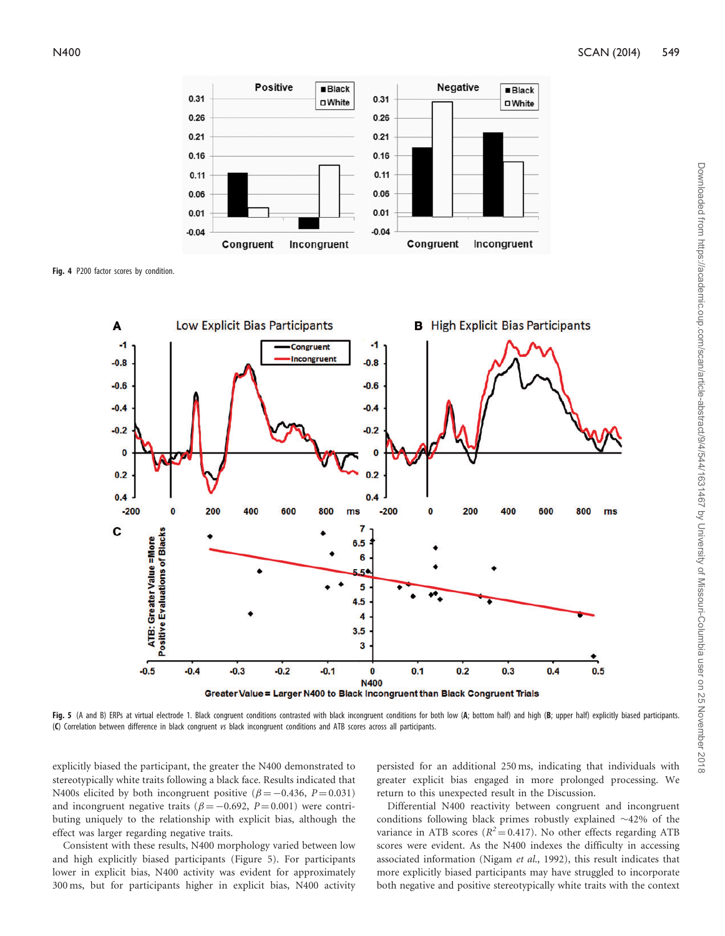

Fig. 4 P200 factor scores by condition.



Fig. 5 (A and B) ERPs at virtual electrode 1. Black congruent conditions contrasted with black incongruent conditions for both low (A; bottom half) and high (B; upper half) explicitly biased participants. (C) Correlation between difference in black congruent vs black incongruent conditions and ATB scores across all participants.

explicitly biased the participant, the greater the N400 demonstrated to stereotypically white traits following a black face. Results indicated that N400s elicited by both incongruent positive ( $\beta = -0.436$ ,  $P = 0.031$ ) and incongruent negative traits ( $\beta = -0.692$ ,  $P = 0.001$ ) were contributing uniquely to the relationship with explicit bias, although the effect was larger regarding negative traits.

Consistent with these results, N400 morphology varied between low and high explicitly biased participants (Figure 5). For participants lower in explicit bias, N400 activity was evident for approximately 300 ms, but for participants higher in explicit bias, N400 activity persisted for an additional 250 ms, indicating that individuals with greater explicit bias engaged in more prolonged processing. We return to this unexpected result in the Discussion.

Differential N400 reactivity between congruent and incongruent conditions following black primes robustly explained  $\sim$ 42% of the variance in ATB scores ( $R^2$  = 0.417). No other effects regarding ATB scores were evident. As the N400 indexes the difficulty in accessing associated information (Nigam et al[., 1992\)](#page-8-0), this result indicates that more explicitly biased participants may have struggled to incorporate both negative and positive stereotypically white traits with the context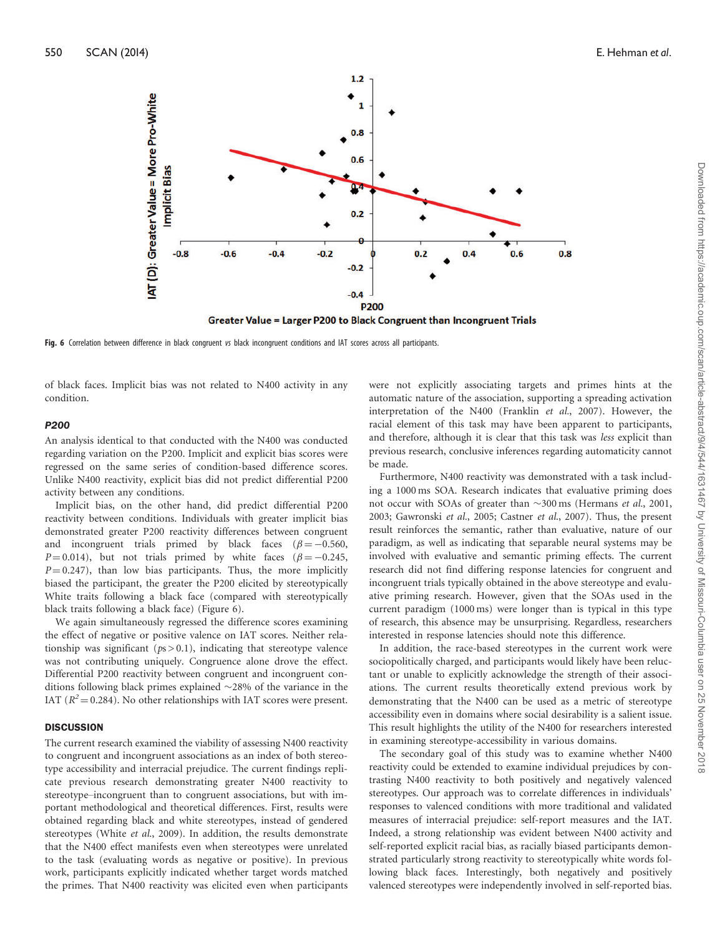

Fig. 6 Correlation between difference in black congruent vs black incongruent conditions and IAT scores across all participants.

of black faces. Implicit bias was not related to N400 activity in any condition.

#### P200

An analysis identical to that conducted with the N400 was conducted regarding variation on the P200. Implicit and explicit bias scores were regressed on the same series of condition-based difference scores. Unlike N400 reactivity, explicit bias did not predict differential P200 activity between any conditions.

Implicit bias, on the other hand, did predict differential P200 reactivity between conditions. Individuals with greater implicit bias demonstrated greater P200 reactivity differences between congruent and incongruent trials primed by black faces ( $\beta = -0.560$ ,  $P = 0.014$ ), but not trials primed by white faces ( $\beta = -0.245$ ,  $P = 0.247$ , than low bias participants. Thus, the more implicitly biased the participant, the greater the P200 elicited by stereotypically White traits following a black face (compared with stereotypically black traits following a black face) (Figure 6).

We again simultaneously regressed the difference scores examining the effect of negative or positive valence on IAT scores. Neither relationship was significant ( $ps > 0.1$ ), indicating that stereotype valence was not contributing uniquely. Congruence alone drove the effect. Differential P200 reactivity between congruent and incongruent conditions following black primes explained  $\sim$ 28% of the variance in the IAT ( $R^2$  = 0.284). No other relationships with IAT scores were present.

## **DISCUSSION**

The current research examined the viability of assessing N400 reactivity to congruent and incongruent associations as an index of both stereotype accessibility and interracial prejudice. The current findings replicate previous research demonstrating greater N400 reactivity to stereotype–incongruent than to congruent associations, but with important methodological and theoretical differences. First, results were obtained regarding black and white stereotypes, instead of gendered stereotypes (White et al[., 2009](#page-8-0)). In addition, the results demonstrate that the N400 effect manifests even when stereotypes were unrelated to the task (evaluating words as negative or positive). In previous work, participants explicitly indicated whether target words matched the primes. That N400 reactivity was elicited even when participants were not explicitly associating targets and primes hints at the automatic nature of the association, supporting a spreading activation interpretation of the N400 ([Franklin](#page-8-0) et al.[, 2007\)](#page-8-0). However, the racial element of this task may have been apparent to participants, and therefore, although it is clear that this task was less explicit than previous research, conclusive inferences regarding automaticity cannot be made.

Furthermore, N400 reactivity was demonstrated with a task including a 1000 ms SOA. Research indicates that evaluative priming does not occur with SOAs of greater than  $\sim$ 300 ms ([Hermans](#page-8-0) et al., 2001, [2003; Gawronski](#page-8-0) et al., 2005; [Castner](#page-7-0) et al., 2007). Thus, the present result reinforces the semantic, rather than evaluative, nature of our paradigm, as well as indicating that separable neural systems may be involved with evaluative and semantic priming effects. The current research did not find differing response latencies for congruent and incongruent trials typically obtained in the above stereotype and evaluative priming research. However, given that the SOAs used in the current paradigm (1000 ms) were longer than is typical in this type of research, this absence may be unsurprising. Regardless, researchers interested in response latencies should note this difference.

In addition, the race-based stereotypes in the current work were sociopolitically charged, and participants would likely have been reluctant or unable to explicitly acknowledge the strength of their associations. The current results theoretically extend previous work by demonstrating that the N400 can be used as a metric of stereotype accessibility even in domains where social desirability is a salient issue. This result highlights the utility of the N400 for researchers interested in examining stereotype-accessibility in various domains.

The secondary goal of this study was to examine whether N400 reactivity could be extended to examine individual prejudices by contrasting N400 reactivity to both positively and negatively valenced stereotypes. Our approach was to correlate differences in individuals' responses to valenced conditions with more traditional and validated measures of interracial prejudice: self-report measures and the IAT. Indeed, a strong relationship was evident between N400 activity and self-reported explicit racial bias, as racially biased participants demonstrated particularly strong reactivity to stereotypically white words following black faces. Interestingly, both negatively and positively valenced stereotypes were independently involved in self-reported bias.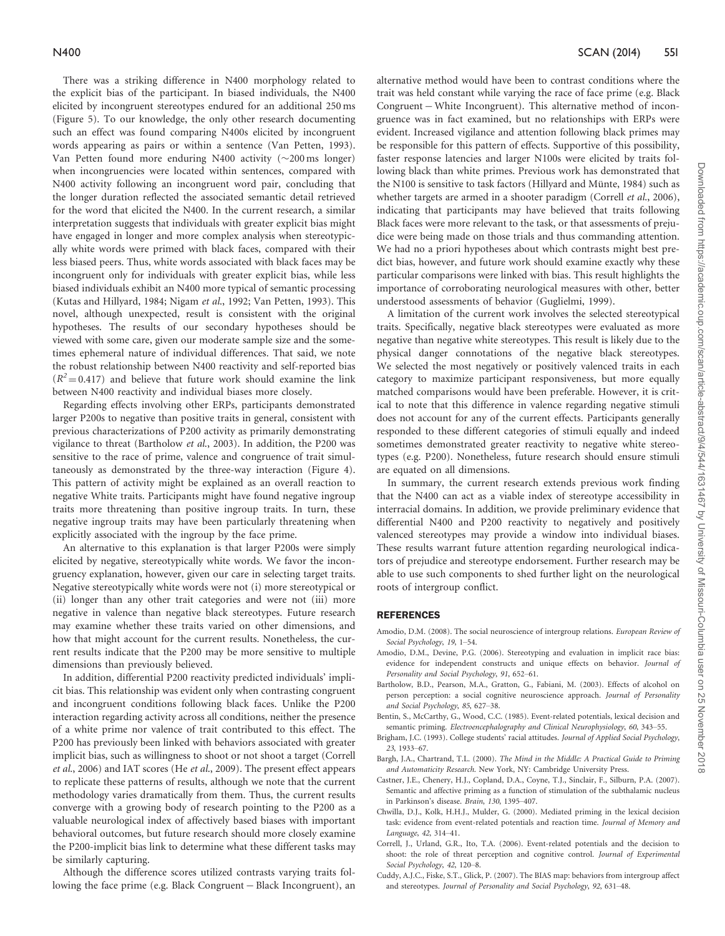<span id="page-7-0"></span>There was a striking difference in N400 morphology related to the explicit bias of the participant. In biased individuals, the N400 elicited by incongruent stereotypes endured for an additional 250 ms (Figure 5). To our knowledge, the only other research documenting such an effect was found comparing N400s elicited by incongruent words appearing as pairs or within a sentence [\(Van Petten, 1993\)](#page-8-0). Van Petten found more enduring N400 activity  $(\sim]200 \text{ ms}$  longer) when incongruencies were located within sentences, compared with N400 activity following an incongruent word pair, concluding that the longer duration reflected the associated semantic detail retrieved for the word that elicited the N400. In the current research, a similar interpretation suggests that individuals with greater explicit bias might have engaged in longer and more complex analysis when stereotypically white words were primed with black faces, compared with their less biased peers. Thus, white words associated with black faces may be incongruent only for individuals with greater explicit bias, while less biased individuals exhibit an N400 more typical of semantic processing ([Kutas and Hillyard, 1984; Nigam](#page-8-0) et al., 1992; [Van Petten, 1993\)](#page-8-0). This novel, although unexpected, result is consistent with the original hypotheses. The results of our secondary hypotheses should be viewed with some care, given our moderate sample size and the sometimes ephemeral nature of individual differences. That said, we note the robust relationship between N400 reactivity and self-reported bias  $(R^2 = 0.417)$  and believe that future work should examine the link between N400 reactivity and individual biases more closely.

Regarding effects involving other ERPs, participants demonstrated larger P200s to negative than positive traits in general, consistent with previous characterizations of P200 activity as primarily demonstrating vigilance to threat (Bartholow et al., 2003). In addition, the P200 was sensitive to the race of prime, valence and congruence of trait simultaneously as demonstrated by the three-way interaction (Figure 4). This pattern of activity might be explained as an overall reaction to negative White traits. Participants might have found negative ingroup traits more threatening than positive ingroup traits. In turn, these negative ingroup traits may have been particularly threatening when explicitly associated with the ingroup by the face prime.

An alternative to this explanation is that larger P200s were simply elicited by negative, stereotypically white words. We favor the incongruency explanation, however, given our care in selecting target traits. Negative stereotypically white words were not (i) more stereotypical or (ii) longer than any other trait categories and were not (iii) more negative in valence than negative black stereotypes. Future research may examine whether these traits varied on other dimensions, and how that might account for the current results. Nonetheless, the current results indicate that the P200 may be more sensitive to multiple dimensions than previously believed.

In addition, differential P200 reactivity predicted individuals' implicit bias. This relationship was evident only when contrasting congruent and incongruent conditions following black faces. Unlike the P200 interaction regarding activity across all conditions, neither the presence of a white prime nor valence of trait contributed to this effect. The P200 has previously been linked with behaviors associated with greater implicit bias, such as willingness to shoot or not shoot a target (Correll et al., 2006) and IAT scores (He et al[., 2009](#page-8-0)). The present effect appears to replicate these patterns of results, although we note that the current methodology varies dramatically from them. Thus, the current results converge with a growing body of research pointing to the P200 as a valuable neurological index of affectively based biases with important behavioral outcomes, but future research should more closely examine the P200-implicit bias link to determine what these different tasks may be similarly capturing.

Although the difference scores utilized contrasts varying traits following the face prime (e.g. Black Congruent - Black Incongruent), an alternative method would have been to contrast conditions where the trait was held constant while varying the race of face prime (e.g. Black Congruent – White Incongruent). This alternative method of incongruence was in fact examined, but no relationships with ERPs were evident. Increased vigilance and attention following black primes may be responsible for this pattern of effects. Supportive of this possibility, faster response latencies and larger N100s were elicited by traits following black than white primes. Previous work has demonstrated that the N100 is sensitive to task factors (Hillyard and Münte, 1984) such as whether targets are armed in a shooter paradigm (Correll et al., 2006), indicating that participants may have believed that traits following Black faces were more relevant to the task, or that assessments of prejudice were being made on those trials and thus commanding attention. We had no a priori hypotheses about which contrasts might best predict bias, however, and future work should examine exactly why these particular comparisons were linked with bias. This result highlights the importance of corroborating neurological measures with other, better understood assessments of behavior [\(Guglielmi, 1999](#page-8-0)).

A limitation of the current work involves the selected stereotypical traits. Specifically, negative black stereotypes were evaluated as more negative than negative white stereotypes. This result is likely due to the physical danger connotations of the negative black stereotypes. We selected the most negatively or positively valenced traits in each category to maximize participant responsiveness, but more equally matched comparisons would have been preferable. However, it is critical to note that this difference in valence regarding negative stimuli does not account for any of the current effects. Participants generally responded to these different categories of stimuli equally and indeed sometimes demonstrated greater reactivity to negative white stereotypes (e.g. P200). Nonetheless, future research should ensure stimuli are equated on all dimensions.

In summary, the current research extends previous work finding that the N400 can act as a viable index of stereotype accessibility in interracial domains. In addition, we provide preliminary evidence that differential N400 and P200 reactivity to negatively and positively valenced stereotypes may provide a window into individual biases. These results warrant future attention regarding neurological indicators of prejudice and stereotype endorsement. Further research may be able to use such components to shed further light on the neurological roots of intergroup conflict.

#### REFERENCES

- Amodio, D.M. (2008). The social neuroscience of intergroup relations. European Review of Social Psychology, 19, 1–54.
- Amodio, D.M., Devine, P.G. (2006). Stereotyping and evaluation in implicit race bias: evidence for independent constructs and unique effects on behavior. Journal of Personality and Social Psychology, 91, 652–61.
- Bartholow, B.D., Pearson, M.A., Gratton, G., Fabiani, M. (2003). Effects of alcohol on person perception: a social cognitive neuroscience approach. Journal of Personality and Social Psychology, 85, 627–38.
- Bentin, S., McCarthy, G., Wood, C.C. (1985). Event-related potentials, lexical decision and semantic priming. Electroencephalography and Clinical Neurophysiology, 60, 343-55.
- Brigham, J.C. (1993). College students' racial attitudes. Journal of Applied Social Psychology, 23, 1933–67.
- Bargh, J.A., Chartrand, T.L. (2000). The Mind in the Middle: A Practical Guide to Priming and Automaticity Research. New York, NY: Cambridge University Press.
- Castner, J.E., Chenery, H.J., Copland, D.A., Coyne, T.J., Sinclair, F., Silburn, P.A. (2007). Semantic and affective priming as a function of stimulation of the subthalamic nucleus in Parkinson's disease. Brain, 130, 1395–407.
- Chwilla, D.J., Kolk, H.H.J., Mulder, G. (2000). Mediated priming in the lexical decision task: evidence from event-related potentials and reaction time. Journal of Memory and Language, 42, 314–41.
- Correll, J., Urland, G.R., Ito, T.A. (2006). Event-related potentials and the decision to shoot: the role of threat perception and cognitive control. Journal of Experimental Social Psychology, 42, 120–8.
- Cuddy, A.J.C., Fiske, S.T., Glick, P. (2007). The BIAS map: behaviors from intergroup affect and stereotypes. Journal of Personality and Social Psychology, 92, 631–48.